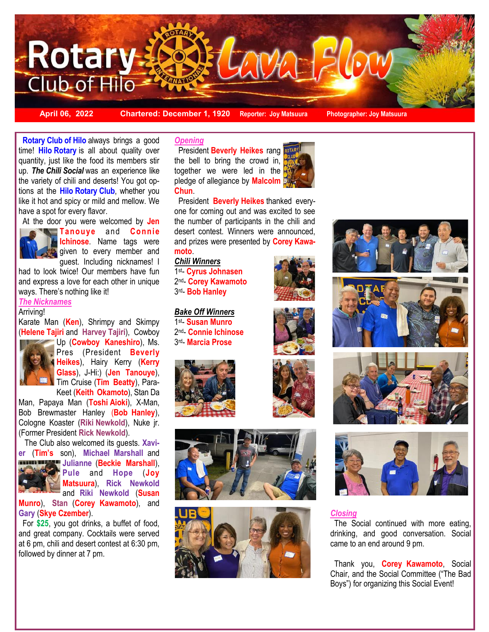

**April 06, 2022 Chartered: December 1, 1920 Reporter: Joy Matsuura Photographer: Joy Matsuura**

up. The Chili Social was an experience like<br>the variety of chili and deserts! You got op- **Rotary Club of Hilo** always brings a good time! **Hilo Rotary** is all about quality over quantity, just like the food its members stir up. *The Chili Social* was an experience like tions at the **Hilo Rotary Club**, whether you like it hot and spicy or mild and mellow. We have a spot for every flavor.



**Tanouye** and **Connie Ichinose**. Name tags were given to every member and guest. Including nicknames! I

had to look twice! Our members have fun and express a love for each other in unique ways. There's nothing like it!

#### *The Nicknames*  Arriving!

Karate Man (**Ken**), Shrimpy and Skimpy (**Helene Tajiri** and **Harvey Tajiri**), Cowboy



Up (**Cowboy Kaneshiro**), Ms. Pres (President **Beverly Heikes**), Hairy Kerry (**Kerry Glass**), J-Hi:) (**Jen Tanouye**), Tim Cruise (**Tim Beatty**), Para-Keet (**Keith Okamoto**), Stan Da

Man, Papaya Man (**Toshi Aioki**), X-Man, Bob Brewmaster Hanley (**Bob Hanley**), Cologne Koaster (**Riki Newkold**), Nuke jr. (Former President **Rick Newkold**).

 The Club also welcomed its guests. **Xavier** (**Tim's** son), **Michael Marshall** and

**Julianne** (**Beckie Marshall**), **Pule** and **Hope** (**Joy Matsuura**), **Rick Newkold**  and **Riki Newkold** (**Susan** 

**Munro**), **Stan** (**Corey Kawamoto**), and **Gary** (**Skye Czember**).

 For **\$25**, you got drinks, a buffet of food, and great company. Cocktails were served at 6 pm, chili and desert contest at 6:30 pm, followed by dinner at 7 pm.

## *Opening*

 President **Beverly Heikes** rang the bell to bring the crowd in, together we were led in the pledge of allegiance by **Malcolm Chun**.



 President **Beverly Heikes** thanked everyone for coming out and was excited to see the number of participants in the chili and desert contest. Winners were announced, and prizes were presented by **Corey Kawamoto**.

#### *Chili Winners*

1 st- **Cyrus Johnasen**  2 nd- **Corey Kawamoto**  3 rd- **Bob Hanley** 

#### *Bake Off Winners* 1 st- **Susan Munro**

2 nd- **Connie Ichinose** 3 rd- **Marcia Prose** 



















# *Closing*

 The Social continued with more eating, drinking, and good conversation. Social came to an end around 9 pm.

 Thank you, **Corey Kawamoto**, Social Chair, and the Social Committee ("The Bad Boys") for organizing this Social Event!